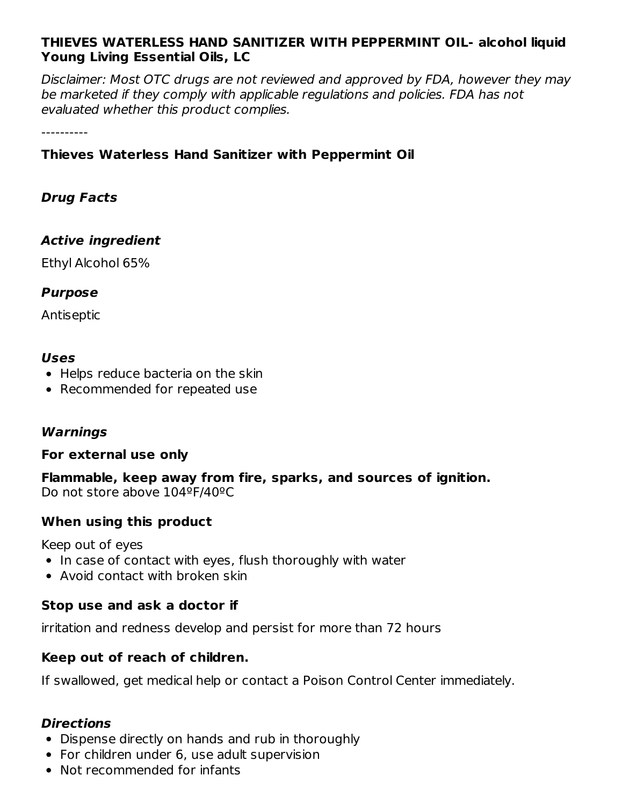### **THIEVES WATERLESS HAND SANITIZER WITH PEPPERMINT OIL- alcohol liquid Young Living Essential Oils, LC**

Disclaimer: Most OTC drugs are not reviewed and approved by FDA, however they may be marketed if they comply with applicable regulations and policies. FDA has not evaluated whether this product complies.

----------

### **Thieves Waterless Hand Sanitizer with Peppermint Oil**

### **Drug Facts**

### **Active ingredient**

Ethyl Alcohol 65%

### **Purpose**

Antiseptic

### **Uses**

- Helps reduce bacteria on the skin
- Recommended for repeated use

### **Warnings**

### **For external use only**

**Flammable, keep away from fire, sparks, and sources of ignition.** Do not store above 104ºF/40ºC

### **When using this product**

Keep out of eyes

- In case of contact with eyes, flush thoroughly with water
- Avoid contact with broken skin

### **Stop use and ask a doctor if**

irritation and redness develop and persist for more than 72 hours

### **Keep out of reach of children.**

If swallowed, get medical help or contact a Poison Control Center immediately.

### **Directions**

- Dispense directly on hands and rub in thoroughly
- For children under 6, use adult supervision
- Not recommended for infants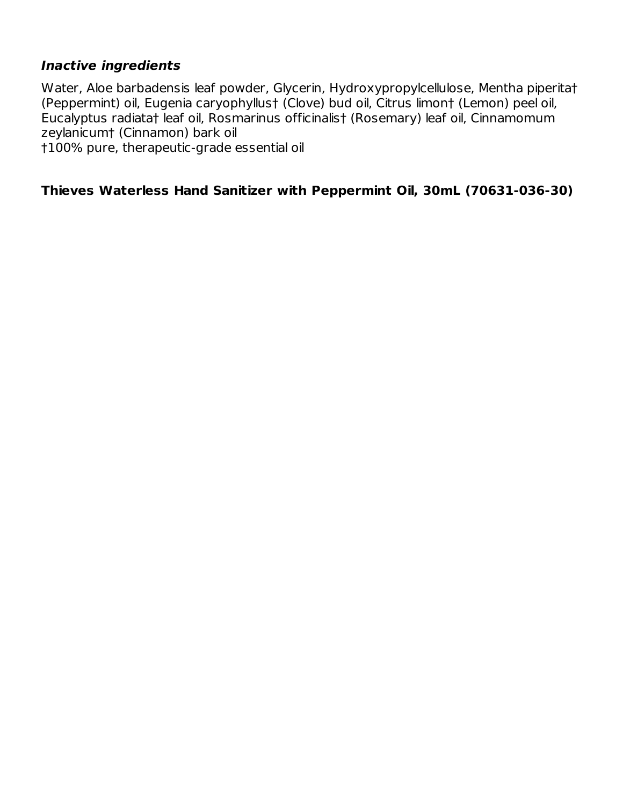### **Inactive ingredients**

Water, Aloe barbadensis leaf powder, Glycerin, Hydroxypropylcellulose, Mentha piperita† (Peppermint) oil, Eugenia caryophyllus† (Clove) bud oil, Citrus limon† (Lemon) peel oil, Eucalyptus radiata† leaf oil, Rosmarinus officinalis† (Rosemary) leaf oil, Cinnamomum zeylanicum† (Cinnamon) bark oil

†100% pure, therapeutic-grade essential oil

### **Thieves Waterless Hand Sanitizer with Peppermint Oil, 30mL (70631-036-30)**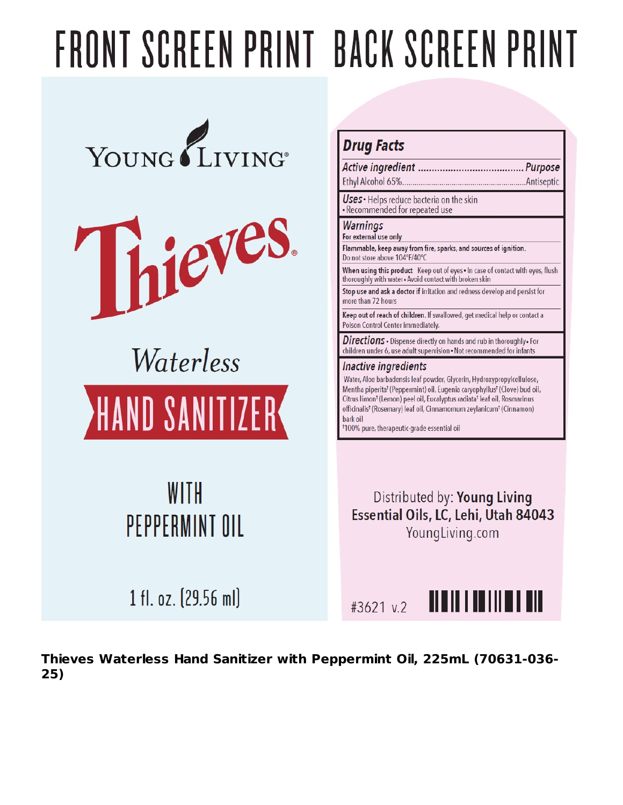# FRONT SCREEN PRINT BACK SCREEN PRINT





## Waterless **HAND SANITIZER**

## WITH PEPPERMINT OIL

### **Drug Facts**

..Antiseptic

Uses · Helps reduce bacteria on the skin · Recommended for repeated use

### **Warnings**

For external use only

Flammable, keep away from fire, sparks, and sources of ignition. Do not store above 104°F/40°C

When using this product Keep out of eyes . In case of contact with eyes, flush thoroughly with water - Avoid contact with broken skin

Stop use and ask a doctor if irritation and redness develop and persist for more than 72 hours

Keep out of reach of children. If swallowed, get medical help or contact a Poison Control Center immediately.

Directions • Dispense directly on hands and rub in thoroughly • For children under 6, use adult supervision . Not recommended for infants

### Inactive ingredients

Water, Aloe barbadensis leaf powder, Glycerin, Hydroxypropylcellulose, Mentha piperita<sup>†</sup> (Peppermint) oil, Eugenia caryophyllus<sup>†</sup> (Clove) bud oil, Citrus limon<sup>t</sup> (Lemon) peel oil, Eucalyptus radiata<sup>t</sup> leaf oil, Rosmarinus officinalis<sup>t</sup> (Rosemary) leaf oil, Cinnamomum zeylanicum<sup>t</sup> (Cinnamon) bark oil

<sup>†</sup>100% pure, therapeutic-grade essential oil

Distributed by: Young Living Essential Oils, LC, Lehi, Utah 84043 YoungLiving.com

1 fl. oz. (29.56 ml)

#3621 v.2



Thieves Waterless Hand Sanitizer with Peppermint Oil, 225mL (70631-036- $25)$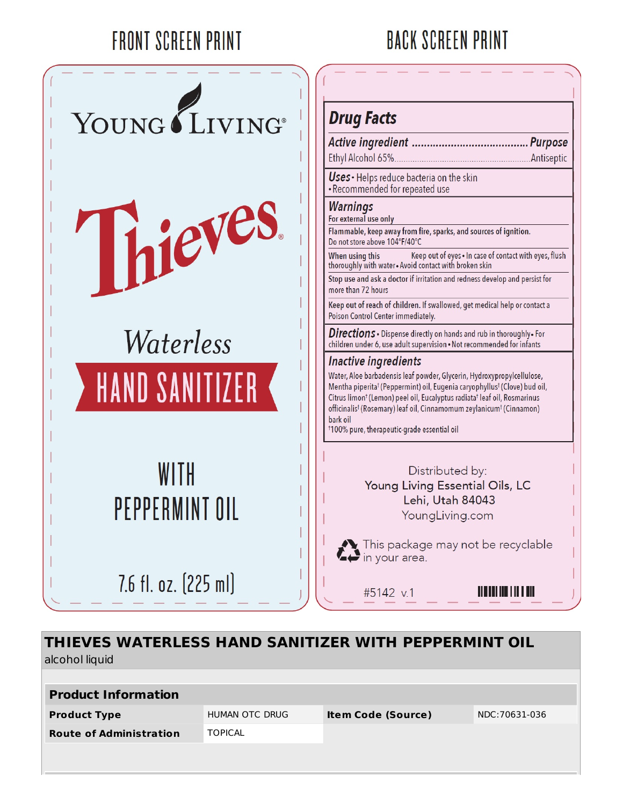## **FRONT SCREEN PRINT**

### **BACK SCREEN PRINT**



### **Drug Facts**

Uses · Helps reduce bacteria on the skin · Recommended for repeated use

### **Warnings**

For external use only

Flammable, keep away from fire, sparks, and sources of ignition. Do not store above 104°F/40°C

When using this Keep out of eyes . In case of contact with eyes, flush thoroughly with water . Avoid contact with broken skin

Stop use and ask a doctor if irritation and redness develop and persist for more than 72 hours

Keep out of reach of children. If swallowed, get medical help or contact a Poison Control Center immediately.

Directions • Dispense directly on hands and rub in thoroughly • For children under 6, use adult supervision . Not recommended for infants

### Inactive ingredients

Water, Aloe barbadensis leaf powder, Glycerin, Hydroxypropylcellulose, Mentha piperita<sup>†</sup> (Peppermint) oil, Eugenia caryophyllus<sup>†</sup> (Clove) bud oil, Citrus limon<sup>†</sup> (Lemon) peel oil, Eucalyptus radiata<sup>†</sup> leaf oil, Rosmarinus officinalis<sup>†</sup> (Rosemary) leaf oil, Cinnamomum zeylanicum<sup>†</sup> (Cinnamon) bark oil

<sup>†</sup>100% pure, therapeutic-grade essential oil

Distributed by: Young Living Essential Oils, LC Lehi, Utah 84043 YoungLiving.com

This package may not be recyclable<br>in your area.

#5142 v.1

<u> III SHIH III III II III I</u>

### THIEVES WATERLESS HAND SANITIZER WITH PEPPERMINT OIL alcohol liquid

| <b>Product Information</b>     |                |                           |               |
|--------------------------------|----------------|---------------------------|---------------|
| <b>Product Type</b>            | HUMAN OTC DRUG | <b>Item Code (Source)</b> | NDC:70631-036 |
| <b>Route of Administration</b> | <b>TOPICAL</b> |                           |               |
|                                |                |                           |               |
|                                |                |                           |               |